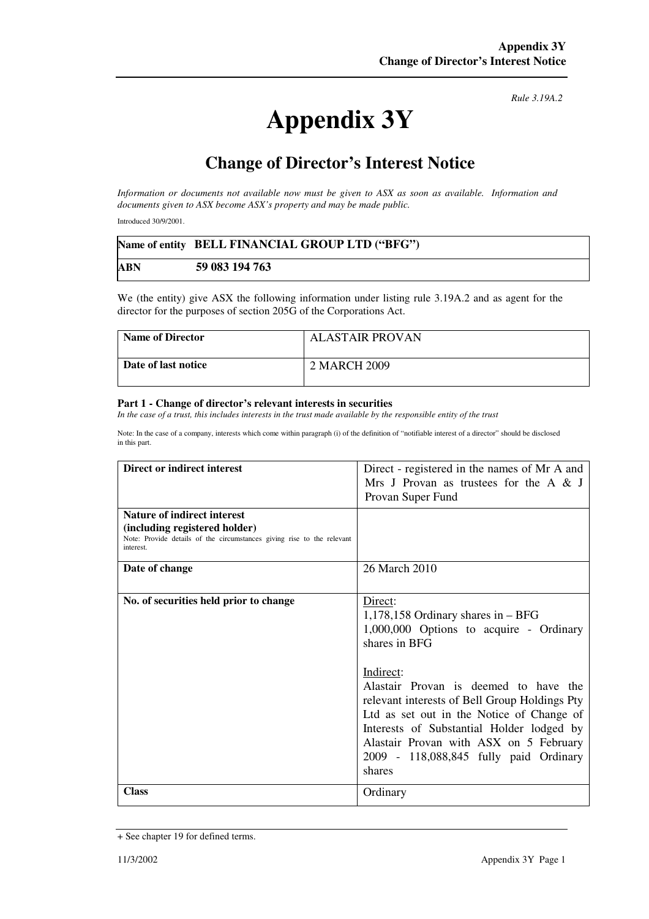## **Appendix 3Y**

*Rule 3.19A.2*

## **Change of Director's Interest Notice**

*Information or documents not available now must be given to ASX as soon as available. Information and documents given to ASX become ASX's property and may be made public.*

Introduced 30/9/2001.

|            | Name of entity BELL FINANCIAL GROUP LTD ("BFG") |
|------------|-------------------------------------------------|
| <b>ABN</b> | 59 083 194 763                                  |

We (the entity) give ASX the following information under listing rule 3.19A.2 and as agent for the director for the purposes of section 205G of the Corporations Act.

| <b>Name of Director</b> | <b>ALASTAIR PROVAN</b> |
|-------------------------|------------------------|
| Date of last notice     | 2 MARCH 2009           |

## **Part 1 - Change of director's relevant interests in securities**

In the case of a trust, this includes interests in the trust made available by the responsible entity of the trust

Note: In the case of a company, interests which come within paragraph (i) of the definition of "notifiable interest of a director" should be disclosed in this part.

| Direct or indirect interest                                                                                                                                | Direct - registered in the names of Mr A and<br>Mrs J Provan as trustees for the A $\&$ J<br>Provan Super Fund                                                                                                                                                                                                                                                                                               |
|------------------------------------------------------------------------------------------------------------------------------------------------------------|--------------------------------------------------------------------------------------------------------------------------------------------------------------------------------------------------------------------------------------------------------------------------------------------------------------------------------------------------------------------------------------------------------------|
| <b>Nature of indirect interest</b><br>(including registered holder)<br>Note: Provide details of the circumstances giving rise to the relevant<br>interest. |                                                                                                                                                                                                                                                                                                                                                                                                              |
| Date of change                                                                                                                                             | 26 March 2010                                                                                                                                                                                                                                                                                                                                                                                                |
| No. of securities held prior to change                                                                                                                     | Direct:<br>$1,178,158$ Ordinary shares in $-$ BFG<br>1,000,000 Options to acquire - Ordinary<br>shares in BFG<br>Indirect:<br>Alastair Provan is deemed to have the<br>relevant interests of Bell Group Holdings Pty<br>Ltd as set out in the Notice of Change of<br>Interests of Substantial Holder lodged by<br>Alastair Provan with ASX on 5 February<br>2009 - 118,088,845 fully paid Ordinary<br>shares |
| <b>Class</b>                                                                                                                                               | Ordinary                                                                                                                                                                                                                                                                                                                                                                                                     |

<sup>+</sup> See chapter 19 for defined terms.